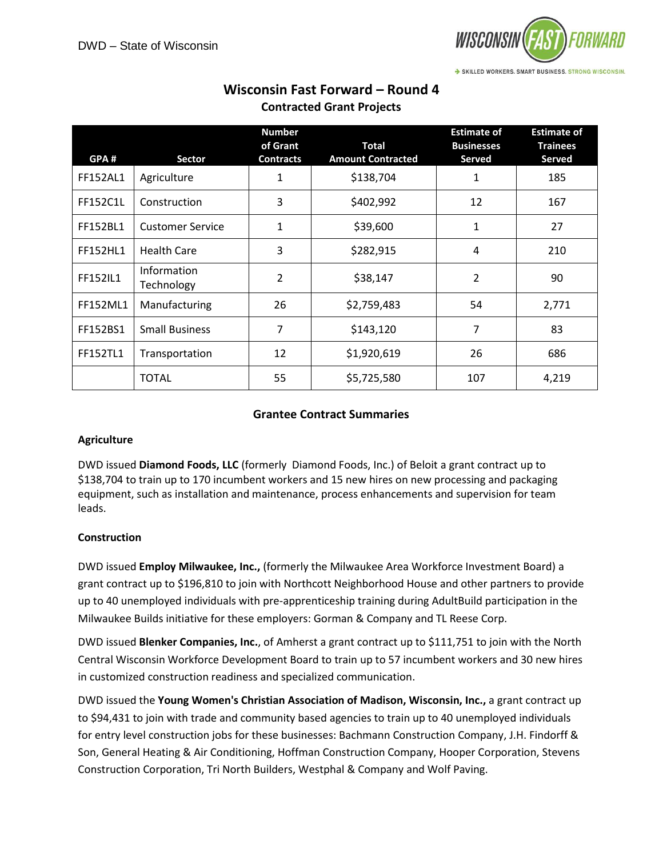

| GPA#            | <b>Sector</b>             | <b>Number</b><br>of Grant<br><b>Contracts</b> | <b>Total</b><br><b>Amount Contracted</b> | <b>Estimate of</b><br><b>Businesses</b><br>Served | <b>Estimate of</b><br><b>Trainees</b><br><b>Served</b> |
|-----------------|---------------------------|-----------------------------------------------|------------------------------------------|---------------------------------------------------|--------------------------------------------------------|
| <b>FF152AL1</b> | Agriculture               | 1                                             | \$138,704                                | 1                                                 | 185                                                    |
| FF152C1L        | Construction              | 3                                             | \$402,992                                | 12                                                | 167                                                    |
| FF152BL1        | <b>Customer Service</b>   | 1                                             | \$39,600                                 | 1                                                 | 27                                                     |
| <b>FF152HL1</b> | <b>Health Care</b>        | 3                                             | \$282,915                                | 4                                                 | 210                                                    |
| FF152IL1        | Information<br>Technology | 2                                             | \$38,147                                 | 2                                                 | 90                                                     |
| <b>FF152ML1</b> | Manufacturing             | 26                                            | \$2,759,483                              | 54                                                | 2,771                                                  |
| FF152BS1        | <b>Small Business</b>     | 7                                             | \$143,120                                | 7                                                 | 83                                                     |
| <b>FF152TL1</b> | Transportation            | 12                                            | \$1,920,619                              | 26                                                | 686                                                    |
|                 | <b>TOTAL</b>              | 55                                            | \$5,725,580                              | 107                                               | 4,219                                                  |

# **Wisconsin Fast Forward – Round 4 Contracted Grant Projects**

## **Grantee Contract Summaries**

#### **Agriculture**

DWD issued **Diamond Foods, LLC** (formerly Diamond Foods, Inc.) of Beloit a grant contract up to \$138,704 to train up to 170 incumbent workers and 15 new hires on new processing and packaging equipment, such as installation and maintenance, process enhancements and supervision for team leads.

# **Construction**

DWD issued **Employ Milwaukee, Inc.,** (formerly the Milwaukee Area Workforce Investment Board) a grant contract up to \$196,810 to join with Northcott Neighborhood House and other partners to provide up to 40 unemployed individuals with pre-apprenticeship training during AdultBuild participation in the Milwaukee Builds initiative for these employers: Gorman & Company and TL Reese Corp.

DWD issued **Blenker Companies, Inc.**, of Amherst a grant contract up to \$111,751 to join with the North Central Wisconsin Workforce Development Board to train up to 57 incumbent workers and 30 new hires in customized construction readiness and specialized communication.

DWD issued the **Young Women's Christian Association of Madison, Wisconsin, Inc.,** a grant contract up to \$94,431 to join with trade and community based agencies to train up to 40 unemployed individuals for entry level construction jobs for these businesses: Bachmann Construction Company, J.H. Findorff & Son, General Heating & Air Conditioning, Hoffman Construction Company, Hooper Corporation, Stevens Construction Corporation, Tri North Builders, Westphal & Company and Wolf Paving.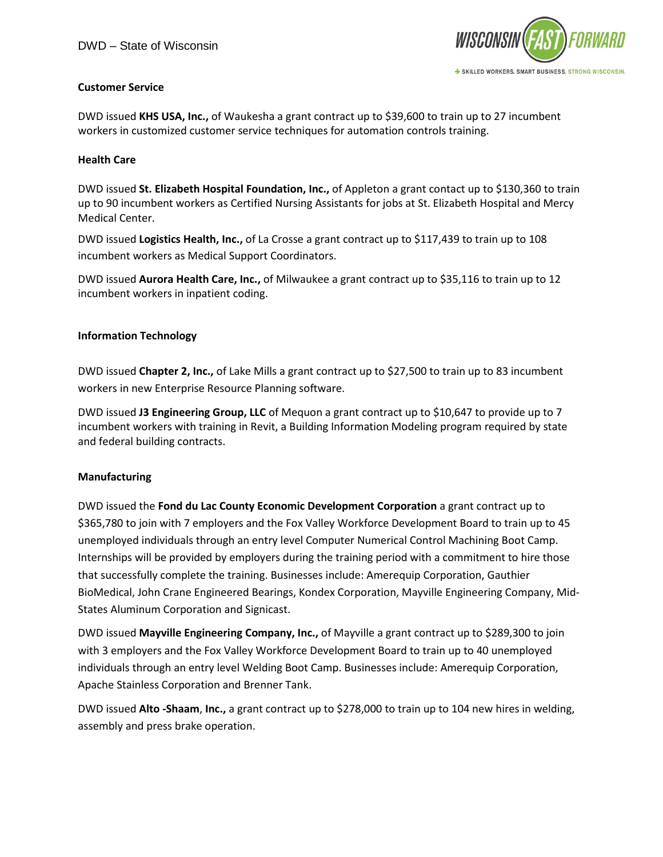

## **Customer Service**

DWD issued **KHS USA, Inc.,** of Waukesha a grant contract up to \$39,600 to train up to 27 incumbent workers in customized customer service techniques for automation controls training.

#### **Health Care**

DWD issued **St. Elizabeth Hospital Foundation, Inc.,** of Appleton a grant contact up to \$130,360 to train up to 90 incumbent workers as Certified Nursing Assistants for jobs at St. Elizabeth Hospital and Mercy Medical Center.

DWD issued **Logistics Health, Inc.,** of La Crosse a grant contract up to \$117,439 to train up to 108 incumbent workers as Medical Support Coordinators.

DWD issued **Aurora Health Care, Inc.,** of Milwaukee a grant contract up to \$35,116 to train up to 12 incumbent workers in inpatient coding.

#### **Information Technology**

DWD issued **Chapter 2, Inc.,** of Lake Mills a grant contract up to \$27,500 to train up to 83 incumbent workers in new Enterprise Resource Planning software.

DWD issued **J3 Engineering Group, LLC** of Mequon a grant contract up to \$10,647 to provide up to 7 incumbent workers with training in Revit, a Building Information Modeling program required by state and federal building contracts.

#### **Manufacturing**

DWD issued the **Fond du Lac County Economic Development Corporation** a grant contract up to \$365,780 to join with 7 employers and the Fox Valley Workforce Development Board to train up to 45 unemployed individuals through an entry level Computer Numerical Control Machining Boot Camp. Internships will be provided by employers during the training period with a commitment to hire those that successfully complete the training. Businesses include: Amerequip Corporation, Gauthier BioMedical, John Crane Engineered Bearings, Kondex Corporation, Mayville Engineering Company, Mid-States Aluminum Corporation and Signicast.

DWD issued **Mayville Engineering Company, Inc.,** of Mayville a grant contract up to \$289,300 to join with 3 employers and the Fox Valley Workforce Development Board to train up to 40 unemployed individuals through an entry level Welding Boot Camp. Businesses include: Amerequip Corporation, Apache Stainless Corporation and Brenner Tank.

DWD issued **Alto -Shaam**, **Inc.,** a grant contract up to \$278,000 to train up to 104 new hires in welding, assembly and press brake operation.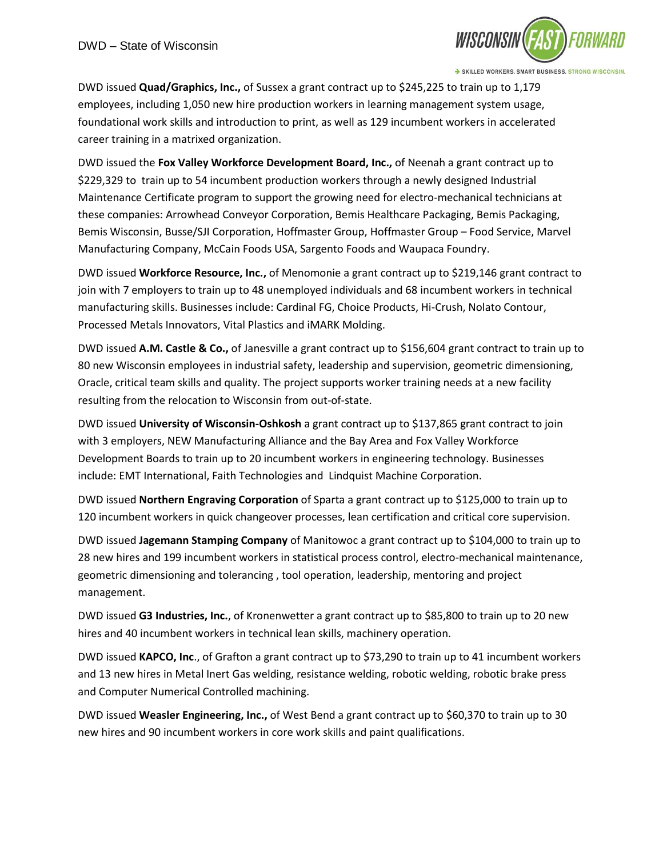

DWD issued **Quad/Graphics, Inc.,** of Sussex a grant contract up to \$245,225 to train up to 1,179 employees, including 1,050 new hire production workers in learning management system usage, foundational work skills and introduction to print, as well as 129 incumbent workers in accelerated career training in a matrixed organization.

DWD issued the **Fox Valley Workforce Development Board, Inc.,** of Neenah a grant contract up to \$229,329 to train up to 54 incumbent production workers through a newly designed Industrial Maintenance Certificate program to support the growing need for electro-mechanical technicians at these companies: Arrowhead Conveyor Corporation, Bemis Healthcare Packaging, Bemis Packaging, Bemis Wisconsin, Busse/SJI Corporation, Hoffmaster Group, Hoffmaster Group – Food Service, Marvel Manufacturing Company, McCain Foods USA, Sargento Foods and Waupaca Foundry.

DWD issued **Workforce Resource, Inc.,** of Menomonie a grant contract up to \$219,146 grant contract to join with 7 employers to train up to 48 unemployed individuals and 68 incumbent workers in technical manufacturing skills. Businesses include: Cardinal FG, Choice Products, Hi-Crush, Nolato Contour, Processed Metals Innovators, Vital Plastics and iMARK Molding.

DWD issued **A.M. Castle & Co.,** of Janesville a grant contract up to \$156,604 grant contract to train up to 80 new Wisconsin employees in industrial safety, leadership and supervision, geometric dimensioning, Oracle, critical team skills and quality. The project supports worker training needs at a new facility resulting from the relocation to Wisconsin from out-of-state.

DWD issued **University of Wisconsin-Oshkosh** a grant contract up to \$137,865 grant contract to join with 3 employers, NEW Manufacturing Alliance and the Bay Area and Fox Valley Workforce Development Boards to train up to 20 incumbent workers in engineering technology. Businesses include: EMT International, Faith Technologies and Lindquist Machine Corporation.

DWD issued **Northern Engraving Corporation** of Sparta a grant contract up to \$125,000 to train up to 120 incumbent workers in quick changeover processes, lean certification and critical core supervision.

DWD issued **Jagemann Stamping Company** of Manitowoc a grant contract up to \$104,000 to train up to 28 new hires and 199 incumbent workers in statistical process control, electro-mechanical maintenance, geometric dimensioning and tolerancing , tool operation, leadership, mentoring and project management.

DWD issued **G3 Industries, Inc.**, of Kronenwetter a grant contract up to \$85,800 to train up to 20 new hires and 40 incumbent workers in technical lean skills, machinery operation.

DWD issued **KAPCO, Inc**., of Grafton a grant contract up to \$73,290 to train up to 41 incumbent workers and 13 new hires in Metal Inert Gas welding, resistance welding, robotic welding, robotic brake press and Computer Numerical Controlled machining.

DWD issued **Weasler Engineering, Inc.,** of West Bend a grant contract up to \$60,370 to train up to 30 new hires and 90 incumbent workers in core work skills and paint qualifications.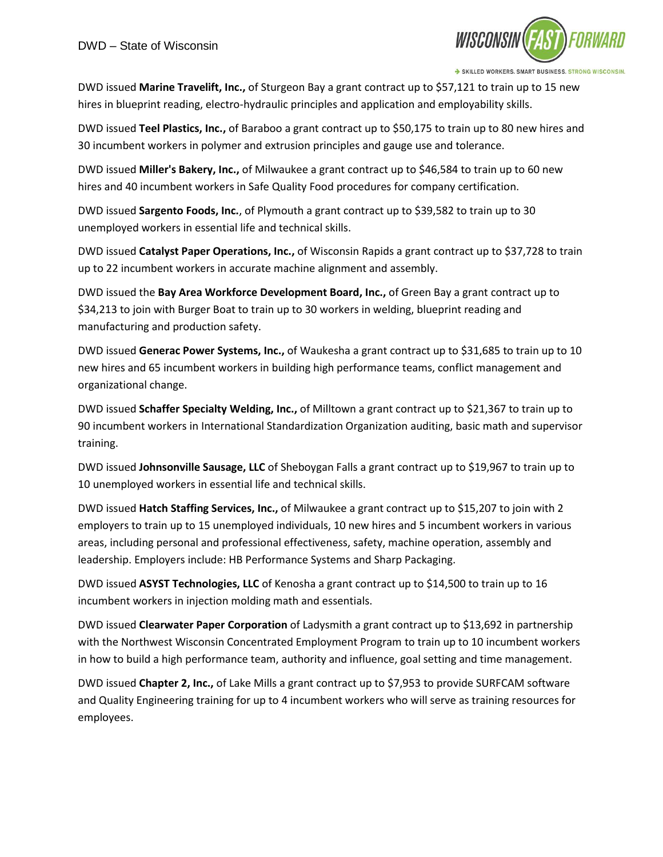

DWD issued **Marine Travelift, Inc.,** of Sturgeon Bay a grant contract up to \$57,121 to train up to 15 new hires in blueprint reading, electro-hydraulic principles and application and employability skills.

DWD issued **Teel Plastics, Inc.,** of Baraboo a grant contract up to \$50,175 to train up to 80 new hires and 30 incumbent workers in polymer and extrusion principles and gauge use and tolerance.

DWD issued **Miller's Bakery, Inc.,** of Milwaukee a grant contract up to \$46,584 to train up to 60 new hires and 40 incumbent workers in Safe Quality Food procedures for company certification.

DWD issued **Sargento Foods, Inc.**, of Plymouth a grant contract up to \$39,582 to train up to 30 unemployed workers in essential life and technical skills.

DWD issued **Catalyst Paper Operations, Inc.,** of Wisconsin Rapids a grant contract up to \$37,728 to train up to 22 incumbent workers in accurate machine alignment and assembly.

DWD issued the **Bay Area Workforce Development Board, Inc.,** of Green Bay a grant contract up to \$34,213 to join with Burger Boat to train up to 30 workers in welding, blueprint reading and manufacturing and production safety.

DWD issued **Generac Power Systems, Inc.,** of Waukesha a grant contract up to \$31,685 to train up to 10 new hires and 65 incumbent workers in building high performance teams, conflict management and organizational change.

DWD issued **Schaffer Specialty Welding, Inc.,** of Milltown a grant contract up to \$21,367 to train up to 90 incumbent workers in International Standardization Organization auditing, basic math and supervisor training.

DWD issued **Johnsonville Sausage, LLC** of Sheboygan Falls a grant contract up to \$19,967 to train up to 10 unemployed workers in essential life and technical skills.

DWD issued **Hatch Staffing Services, Inc.,** of Milwaukee a grant contract up to \$15,207 to join with 2 employers to train up to 15 unemployed individuals, 10 new hires and 5 incumbent workers in various areas, including personal and professional effectiveness, safety, machine operation, assembly and leadership. Employers include: HB Performance Systems and Sharp Packaging.

DWD issued **ASYST Technologies, LLC** of Kenosha a grant contract up to \$14,500 to train up to 16 incumbent workers in injection molding math and essentials.

DWD issued **Clearwater Paper Corporation** of Ladysmith a grant contract up to \$13,692 in partnership with the Northwest Wisconsin Concentrated Employment Program to train up to 10 incumbent workers in how to build a high performance team, authority and influence, goal setting and time management.

DWD issued **Chapter 2, Inc.,** of Lake Mills a grant contract up to \$7,953 to provide SURFCAM software and Quality Engineering training for up to 4 incumbent workers who will serve as training resources for employees.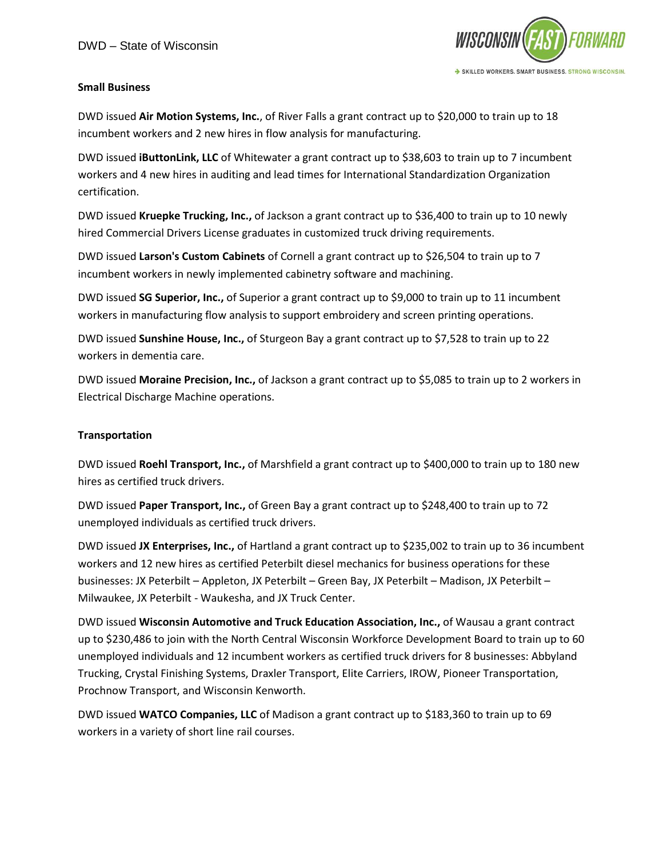

## **Small Business**

DWD issued **Air Motion Systems, Inc.**, of River Falls a grant contract up to \$20,000 to train up to 18 incumbent workers and 2 new hires in flow analysis for manufacturing.

DWD issued **iButtonLink, LLC** of Whitewater a grant contract up to \$38,603 to train up to 7 incumbent workers and 4 new hires in auditing and lead times for International Standardization Organization certification.

DWD issued **Kruepke Trucking, Inc.,** of Jackson a grant contract up to \$36,400 to train up to 10 newly hired Commercial Drivers License graduates in customized truck driving requirements.

DWD issued **Larson's Custom Cabinets** of Cornell a grant contract up to \$26,504 to train up to 7 incumbent workers in newly implemented cabinetry software and machining.

DWD issued **SG Superior, Inc.,** of Superior a grant contract up to \$9,000 to train up to 11 incumbent workers in manufacturing flow analysis to support embroidery and screen printing operations.

DWD issued **Sunshine House, Inc.,** of Sturgeon Bay a grant contract up to \$7,528 to train up to 22 workers in dementia care.

DWD issued **Moraine Precision, Inc.,** of Jackson a grant contract up to \$5,085 to train up to 2 workers in Electrical Discharge Machine operations.

# **Transportation**

DWD issued **Roehl Transport, Inc.,** of Marshfield a grant contract up to \$400,000 to train up to 180 new hires as certified truck drivers.

DWD issued **Paper Transport, Inc.,** of Green Bay a grant contract up to \$248,400 to train up to 72 unemployed individuals as certified truck drivers.

DWD issued **JX Enterprises, Inc.,** of Hartland a grant contract up to \$235,002 to train up to 36 incumbent workers and 12 new hires as certified Peterbilt diesel mechanics for business operations for these businesses: JX Peterbilt – Appleton, JX Peterbilt – Green Bay, JX Peterbilt – Madison, JX Peterbilt – Milwaukee, JX Peterbilt - Waukesha, and JX Truck Center.

DWD issued **Wisconsin Automotive and Truck Education Association, Inc.,** of Wausau a grant contract up to \$230,486 to join with the North Central Wisconsin Workforce Development Board to train up to 60 unemployed individuals and 12 incumbent workers as certified truck drivers for 8 businesses: Abbyland Trucking, Crystal Finishing Systems, Draxler Transport, Elite Carriers, IROW, Pioneer Transportation, Prochnow Transport, and Wisconsin Kenworth.

DWD issued **WATCO Companies, LLC** of Madison a grant contract up to \$183,360 to train up to 69 workers in a variety of short line rail courses.